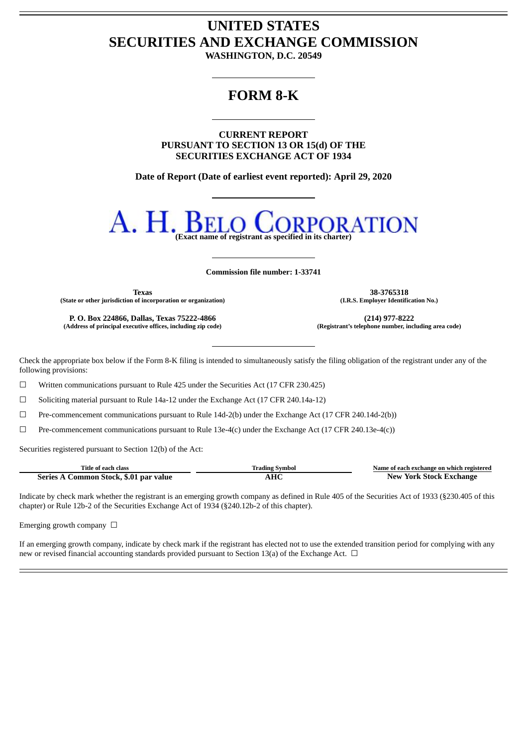## **UNITED STATES SECURITIES AND EXCHANGE COMMISSION**

**WASHINGTON, D.C. 20549**

## **FORM 8-K**

**CURRENT REPORT PURSUANT TO SECTION 13 OR 15(d) OF THE SECURITIES EXCHANGE ACT OF 1934**

**Date of Report (Date of earliest event reported): April 29, 2020**



**Commission file number: 1-33741**

**Texas 38-3765318 (State or other jurisdiction of incorporation or organization) (I.R.S. Employer Identification No.)**

**P. O. Box 224866, Dallas, Texas 75222-4866 (214) 977-8222 (Address of principal executive offices, including zip code) (Registrant's telephone number, including area code)**

Check the appropriate box below if the Form 8-K filing is intended to simultaneously satisfy the filing obligation of the registrant under any of the following provisions:

 $\Box$  Written communications pursuant to Rule 425 under the Securities Act (17 CFR 230.425)

 $\Box$  Soliciting material pursuant to Rule 14a-12 under the Exchange Act (17 CFR 240.14a-12)

 $\Box$  Pre-commencement communications pursuant to Rule 14d-2(b) under the Exchange Act (17 CFR 240.14d-2(b))

 $\Box$  Pre-commencement communications pursuant to Rule 13e-4(c) under the Exchange Act (17 CFR 240.13e-4(c))

Securities registered pursuant to Section 12(b) of the Act:

| Title of each class                    | Trading Symbol | Name of each exchange on which registered |
|----------------------------------------|----------------|-------------------------------------------|
| Series A Common Stock, \$.01 par value |                | <b>New York Stock Exchange</b>            |

Indicate by check mark whether the registrant is an emerging growth company as defined in Rule 405 of the Securities Act of 1933 (§230.405 of this chapter) or Rule 12b-2 of the Securities Exchange Act of 1934 (§240.12b-2 of this chapter).

Emerging growth company  $\Box$ 

If an emerging growth company, indicate by check mark if the registrant has elected not to use the extended transition period for complying with any new or revised financial accounting standards provided pursuant to Section 13(a) of the Exchange Act.  $\Box$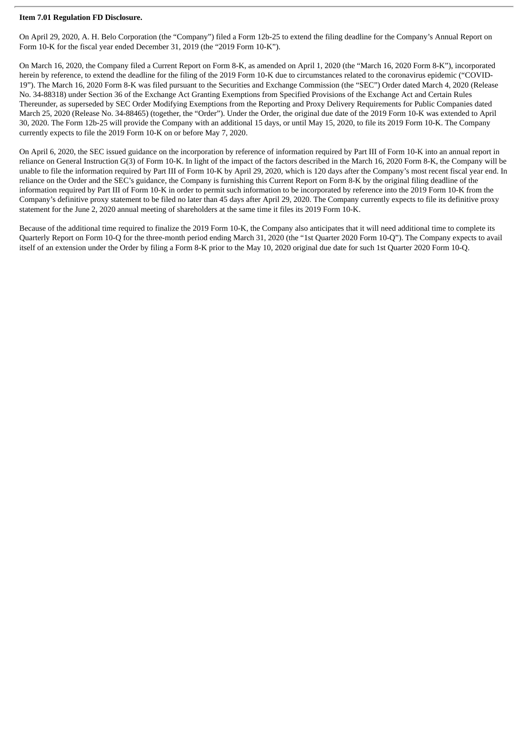## **Item 7.01 Regulation FD Disclosure.**

On April 29, 2020, A. H. Belo Corporation (the "Company") filed a Form 12b-25 to extend the filing deadline for the Company's Annual Report on Form 10-K for the fiscal year ended December 31, 2019 (the "2019 Form 10-K").

On March 16, 2020, the Company filed a Current Report on Form 8-K, as amended on April 1, 2020 (the "March 16, 2020 Form 8-K"), incorporated herein by reference, to extend the deadline for the filing of the 2019 Form 10-K due to circumstances related to the coronavirus epidemic ("COVID-19"). The March 16, 2020 Form 8-K was filed pursuant to the Securities and Exchange Commission (the "SEC") Order dated March 4, 2020 (Release No. 34-88318) under Section 36 of the Exchange Act Granting Exemptions from Specified Provisions of the Exchange Act and Certain Rules Thereunder, as superseded by SEC Order Modifying Exemptions from the Reporting and Proxy Delivery Requirements for Public Companies dated March 25, 2020 (Release No. 34-88465) (together, the "Order"). Under the Order, the original due date of the 2019 Form 10-K was extended to April 30, 2020. The Form 12b-25 will provide the Company with an additional 15 days, or until May 15, 2020, to file its 2019 Form 10-K. The Company currently expects to file the 2019 Form 10-K on or before May 7, 2020.

On April 6, 2020, the SEC issued guidance on the incorporation by reference of information required by Part III of Form 10-K into an annual report in reliance on General Instruction G(3) of Form 10-K. In light of the impact of the factors described in the March 16, 2020 Form 8-K, the Company will be unable to file the information required by Part III of Form 10-K by April 29, 2020, which is 120 days after the Company's most recent fiscal year end. In reliance on the Order and the SEC's guidance, the Company is furnishing this Current Report on Form 8-K by the original filing deadline of the information required by Part III of Form 10-K in order to permit such information to be incorporated by reference into the 2019 Form 10-K from the Company's definitive proxy statement to be filed no later than 45 days after April 29, 2020. The Company currently expects to file its definitive proxy statement for the June 2, 2020 annual meeting of shareholders at the same time it files its 2019 Form 10-K.

Because of the additional time required to finalize the 2019 Form 10-K, the Company also anticipates that it will need additional time to complete its Quarterly Report on Form 10-Q for the three-month period ending March 31, 2020 (the "1st Quarter 2020 Form 10-Q"). The Company expects to avail itself of an extension under the Order by filing a Form 8-K prior to the May 10, 2020 original due date for such 1st Quarter 2020 Form 10-Q.